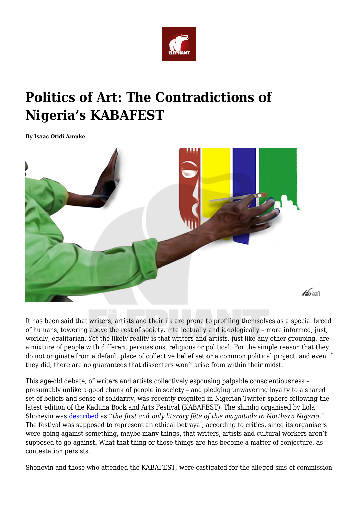

## **Politics of Art: The Contradictions of Nigeria's KABAFEST**

**By Isaac Otidi Amuke**



It has been said that writers, artists and their ilk are prone to profiling themselves as a special breed of humans, towering above the rest of society, intellectually and ideologically – more informed, just, worldly, egalitarian. Yet the likely reality is that writers and artists, just like any other grouping, are a mixture of people with different persuasions, religious or political. For the simple reason that they do not originate from a default place of collective belief set or a common political project, and even if they did, there are no guarantees that dissenters won't arise from within their midst.

This age-old debate, of writers and artists collectively espousing palpable conscientiousness – presumably unlike a good chunk of people in society – and pledging unwavering loyalty to a shared set of beliefs and sense of solidarity, was recently reignited in Nigerian Twitter-sphere following the latest edition of the Kaduna Book and Arts Festival (KABAFEST). The shindig organised by Lola Shoneyin was [described](https://kabafest.org/) as *''the first and only literary fête of this magnitude in Northern Nigeria.*'' The festival was supposed to represent an ethical betrayal, according to critics, since its organisers were going against something, maybe many things, that writers, artists and cultural workers aren't supposed to go against. What that thing or those things are has become a matter of conjecture, as contestation persists.

Shoneyin and those who attended the KABAFEST, were castigated for the alleged sins of commission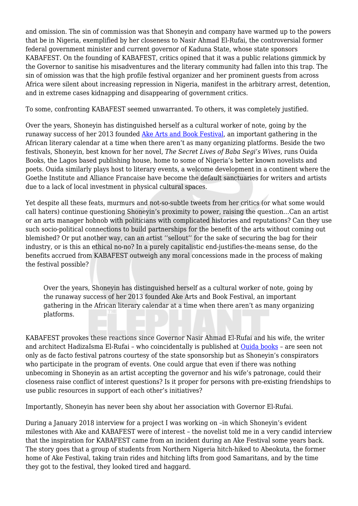and omission. The sin of commission was that Shoneyin and company have warmed up to the powers that be in Nigeria, exemplified by her closeness to Nasir Ahmad El-Rufai, the controversial former federal government minister and current governor of Kaduna State, whose state sponsors KABAFEST. On the founding of KABAFEST, critics opined that it was a public relations gimmick by the Governor to sanitise his misadventures and the literary community had fallen into this trap. The sin of omission was that the high profile festival organizer and her prominent guests from across Africa were silent about increasing repression in Nigeria, manifest in the arbitrary arrest, detention, and in extreme cases kidnapping and disappearing of government critics.

To some, confronting KABAFEST seemed unwarranted. To others, it was completely justified.

Over the years, Shoneyin has distinguished herself as a cultural worker of note, going by the runaway success of her 2013 founded [Ake Arts and Book Festival,](https://www.akefestival.org/) an important gathering in the African literary calendar at a time when there aren't as many organizing platforms. Beside the two festivals, Shoneyin, best known for her novel, *The Secret Lives of Baba Segi's Wives*, runs Ouida Books, the Lagos based publishing house, home to some of Nigeria's better known novelists and poets. Ouida similarly plays host to literary events, a welcome development in a continent where the Goethe Institute and Alliance Francaise have become the default sanctuaries for writers and artists due to a lack of local investment in physical cultural spaces.

Yet despite all these feats, murmurs and not-so-subtle tweets from her critics (or what some would call haters) continue questioning Shoneyin's proximity to power, raising the question…Can an artist or an arts manager hobnob with politicians with complicated histories and reputations? Can they use such socio-political connections to build partnerships for the benefit of the arts without coming out blemished? Or put another way, can an artist ''sellout'' for the sake of securing the bag for their industry, or is this an ethical no-no? In a purely capitalistic end-justifies-the-means sense, do the benefits accrued from KABAFEST outweigh any moral concessions made in the process of making the festival possible?

Over the years, Shoneyin has distinguished herself as a cultural worker of note, going by the runaway success of her 2013 founded Ake Arts and Book Festival, an important gathering in the African literary calendar at a time when there aren't as many organizing platforms.

KABAFEST provokes these reactions since Governor Nasir Ahmad El-Rufai and his wife, the writer and architect HadizaIsma El-Rufai – who coincidentally is published at [Ouida books](http://ouidabooks.com/authors/) – are seen not only as de facto festival patrons courtesy of the state sponsorship but as Shoneyin's conspirators who participate in the program of events. One could argue that even if there was nothing unbecoming in Shoneyin as an artist accepting the governor and his wife's patronage, could their closeness raise conflict of interest questions? Is it proper for persons with pre-existing friendships to use public resources in support of each other's initiatives?

Importantly, Shoneyin has never been shy about her association with Governor El-Rufai.

During a January 2018 interview for a project I was working on –in which Shoneyin's evident milestones with Ake and KABAFEST were of interest – the novelist told me in a very candid interview that the inspiration for KABAFEST came from an incident during an Ake Festival some years back. The story goes that a group of students from Northern Nigeria hitch-hiked to Abeokuta, the former home of Ake Festival, taking train rides and hitching lifts from good Samaritans, and by the time they got to the festival, they looked tired and haggard.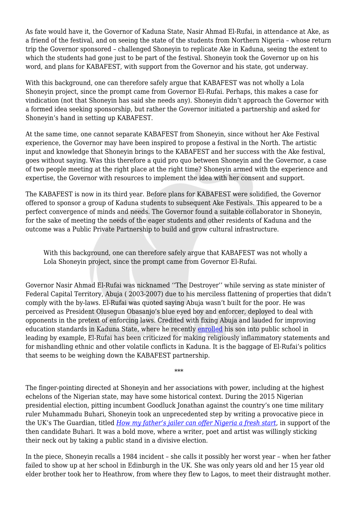As fate would have it, the Governor of Kaduna State, Nasir Ahmad El-Rufai, in attendance at Ake, as a friend of the festival, and on seeing the state of the students from Northern Nigeria – whose return trip the Governor sponsored – challenged Shoneyin to replicate Ake in Kaduna, seeing the extent to which the students had gone just to be part of the festival. Shoneyin took the Governor up on his word, and plans for KABAFEST, with support from the Governor and his state, got underway.

With this background, one can therefore safely argue that KABAFEST was not wholly a Lola Shoneyin project, since the prompt came from Governor El-Rufai. Perhaps, this makes a case for vindication (not that Shoneyin has said she needs any). Shoneyin didn't approach the Governor with a formed idea seeking sponsorship, but rather the Governor initiated a partnership and asked for Shoneyin's hand in setting up KABAFEST.

At the same time, one cannot separate KABAFEST from Shoneyin, since without her Ake Festival experience, the Governor may have been inspired to propose a festival in the North. The artistic input and knowledge that Shoneyin brings to the KABAFEST and her success with the Ake festival, goes without saying. Was this therefore a quid pro quo between Shoneyin and the Governor, a case of two people meeting at the right place at the right time? Shoneyin armed with the experience and expertise, the Governor with resources to implement the idea with her consent and support.

The KABAFEST is now in its third year. Before plans for KABAFEST were solidified, the Governor offered to sponsor a group of Kaduna students to subsequent Ake Festivals. This appeared to be a perfect convergence of minds and needs. The Governor found a suitable collaborator in Shoneyin, for the sake of meeting the needs of the eager students and other residents of Kaduna and the outcome was a Public Private Partnership to build and grow cultural infrastructure.

With this background, one can therefore safely argue that KABAFEST was not wholly a Lola Shoneyin project, since the prompt came from Governor El-Rufai.

Governor Nasir Ahmad El-Rufai was nicknamed ''The Destroyer'' while serving as state minister of Federal Capital Territory, Abuja ( 2003-2007) due to his merciless flattening of properties that didn't comply with the by-laws. El-Rufai was quoted saying Abuja wasn't built for the poor. He was perceived as President Olusegun Obasanjo's blue eyed boy and enforcer, deployed to deal with opponents in the pretext of enforcing laws. Credited with fixing Abuja and lauded for improving education standards in Kaduna State, where he recently [enrolled](https://twitter.com/KadunaUpdate/status/1176078076700237830) his son into public school in leading by example, El-Rufai has been criticized for making religiously inflammatory statements and for mishandling ethnic and other volatile conflicts in Kaduna. It is the baggage of El-Rufai's politics that seems to be weighing down the KABAFEST partnership.

\*\*\*

The finger-pointing directed at Shoneyin and her associations with power, including at the highest echelons of the Nigerian state, may have some historical context. During the 2015 Nigerian presidential election, pitting incumbent Goodluck Jonathan against the country's one time military ruler Muhammadu Buhari, Shoneyin took an unprecedented step by writing a provocative piece in the UK's The Guardian, titled *[How my father's jailer can offer Nigeria a fresh start](https://www.theguardian.com/commentisfree/2015/jan/31/nigeria-elections-president-muhammadu-buhari-lola-shoneyin)*, in support of the then candidate Buhari. It was a bold move, where a writer, poet and artist was willingly sticking their neck out by taking a public stand in a divisive election.

In the piece, Shoneyin recalls a 1984 incident – she calls it possibly her worst year – when her father failed to show up at her school in Edinburgh in the UK. She was only years old and her 15 year old elder brother took her to Heathrow, from where they flew to Lagos, to meet their distraught mother.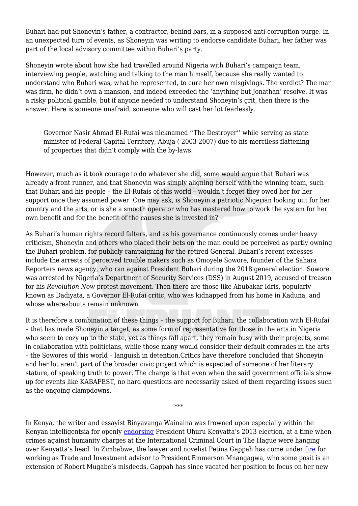Buhari had put Shoneyin's father, a contractor, behind bars, in a supposed anti-corruption purge. In an unexpected turn of events, as Shoneyin was writing to endorse candidate Buhari, her father was part of the local advisory committee within Buhari's party.

Shoneyin wrote about how she had travelled around Nigeria with Buhari's campaign team, interviewing people, watching and talking to the man himself, because she really wanted to understand who Buhari was, what he represented, to cure her own misgivings. The verdict? The man was firm, he didn't own a mansion, and indeed exceeded the 'anything but Jonathan' resolve. It was a risky political gamble, but if anyone needed to understand Shoneyin's grit, then there is the answer. Here is someone unafraid, someone who will cast her lot fearlessly.

Governor Nasir Ahmad El-Rufai was nicknamed ''The Destroyer'' while serving as state minister of Federal Capital Territory, Abuja ( 2003-2007) due to his merciless flattening of properties that didn't comply with the by-laws.

However, much as it took courage to do whatever she did, some would argue that Buhari was already a front runner, and that Shoneyin was simply aligning herself with the winning team, such that Buhari and his people – the El-Rufais of this world – wouldn't forget they owed her for her support once they assumed power. One may ask, is Shoneyin a patriotic Nigerian looking out for her country and the arts, or is she a smooth operator who has mastered how to work the system for her own benefit and for the benefit of the causes she is invested in?

As Buhari's human rights record falters, and as his governance continuously comes under heavy criticism, Shoneyin and others who placed their bets on the man could be perceived as partly owning the Buhari problem, for publicly campaigning for the retired General. Buhari's recent excesses include the arrests of perceived trouble makers such as Omoyele Sowore, founder of the Sahara Reporters news agency, who ran against President Buhari during the 2018 general election. Sowore was arrested by Nigeria's Department of Security Services (DSS) in August 2019, accused of treason for his *Revolution Now* protest movement. Then there are those like Abubakar Idris, popularly known as Dadiyata, a Governor El-Rufai critic, who was kidnapped from his home in Kaduna, and whose whereabouts remain unknown.

It is therefore a combination of these things – the support for Buhari, the collaboration with El-Rufai – that has made Shoneyin a target, as some form of representative for those in the arts in Nigeria who seem to cozy up to the state, yet as things fall apart, they remain busy with their projects, some in collaboration with politicians, while those many would consider their default comrades in the arts – the Sowores of this world – languish in detention.Critics have therefore concluded that Shoneyin and her lot aren't part of the broader civic project which is expected of someone of her literary stature, of speaking truth to power. The charge is that even when the said government officials show up for events like KABAFEST, no hard questions are necessarily asked of them regarding issues such as the ongoing clampdowns.

In Kenya, the writer and essayist Binyavanga Wainaina was frowned upon especially within the Kenyan intelligentsia for openly [endorsing](https://www.theguardian.com/commentisfree/2013/mar/10/kenyans-peace-uhuru-kenyatta-defiant) President Uhuru Kenyatta's 2013 election, at a time when crimes against humanity charges at the International Criminal Court in The Hague were hanging over Kenyatta's head. In Zimbabwe, the lawyer and novelist Petina Gappah has come under [fire](https://nehandaradio.com/2019/08/28/tafi-mhaka-the-problem-with-petina-gappah-and-zanu-pf-elites-defending-emmerson-mnangagwa/?fbclid=IwAR2mNELuI06Sm5nhvk50UbngC-hHpFXYdtyrJ45behqxDdRR2aAhWMePhso) for working as Trade and Investment advisor to President Emmerson Mnangagwa, who some posit is an extension of Robert Mugabe's misdeeds. Gappah has since vacated her position to focus on her new

\*\*\*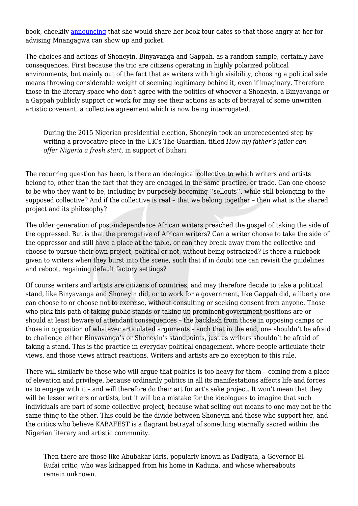book, cheekily [announcing](https://twitter.com/VascoDaGappah/status/1156730201633677318) that she would share her book tour dates so that those angry at her for advising Mnangagwa can show up and picket.

The choices and actions of Shoneyin, Binyavanga and Gappah, as a random sample, certainly have consequences. First because the trio are citizens operating in highly polarized political environments, but mainly out of the fact that as writers with high visibility, choosing a political side means throwing considerable weight of seeming legitimacy behind it, even if imaginary. Therefore those in the literary space who don't agree with the politics of whoever a Shoneyin, a Binyavanga or a Gappah publicly support or work for may see their actions as acts of betrayal of some unwritten artistic covenant, a collective agreement which is now being interrogated.

During the 2015 Nigerian presidential election, Shoneyin took an unprecedented step by writing a provocative piece in the UK's The Guardian, titled *How my father's jailer can offer Nigeria a fresh start*, in support of Buhari.

The recurring question has been, is there an ideological collective to which writers and artists belong to, other than the fact that they are engaged in the same practice, or trade. Can one choose to be who they want to be, including by purposely becoming ''sellouts'', while still belonging to the supposed collective? And if the collective is real – that we belong together – then what is the shared project and its philosophy?

The older generation of post-independence African writers preached the gospel of taking the side of the oppressed. But is that the prerogative of African writers? Can a writer choose to take the side of the oppressor and still have a place at the table, or can they break away from the collective and choose to pursue their own project, political or not, without being ostracized? Is there a rulebook given to writers when they burst into the scene, such that if in doubt one can revisit the guidelines and reboot, regaining default factory settings?

Of course writers and artists are citizens of countries, and may therefore decide to take a political stand, like Binyavanga and Shoneyin did, or to work for a government, like Gappah did, a liberty one can choose to or choose not to exercise, without consulting or seeking consent from anyone. Those who pick this path of taking public stands or taking up prominent government positions are or should at least beware of attendant consequences – the backlash from those in opposing camps or those in opposition of whatever articulated arguments – such that in the end, one shouldn't be afraid to challenge either Binyavanga's or Shoneyin's standpoints, just as writers shouldn't be afraid of taking a stand. This is the practice in everyday political engagement, where people articulate their views, and those views attract reactions. Writers and artists are no exception to this rule.

There will similarly be those who will argue that politics is too heavy for them – coming from a place of elevation and privilege, because ordinarily politics in all its manifestations affects life and forces us to engage with it – and will therefore do their art for art's sake project. It won't mean that they will be lesser writers or artists, but it will be a mistake for the ideologues to imagine that such individuals are part of some collective project, because what selling out means to one may not be the same thing to the other. This could be the divide between Shoneyin and those who support her, and the critics who believe KABAFEST is a flagrant betrayal of something eternally sacred within the Nigerian literary and artistic community.

Then there are those like Abubakar Idris, popularly known as Dadiyata, a Governor El-Rufai critic, who was kidnapped from his home in Kaduna, and whose whereabouts remain unknown.